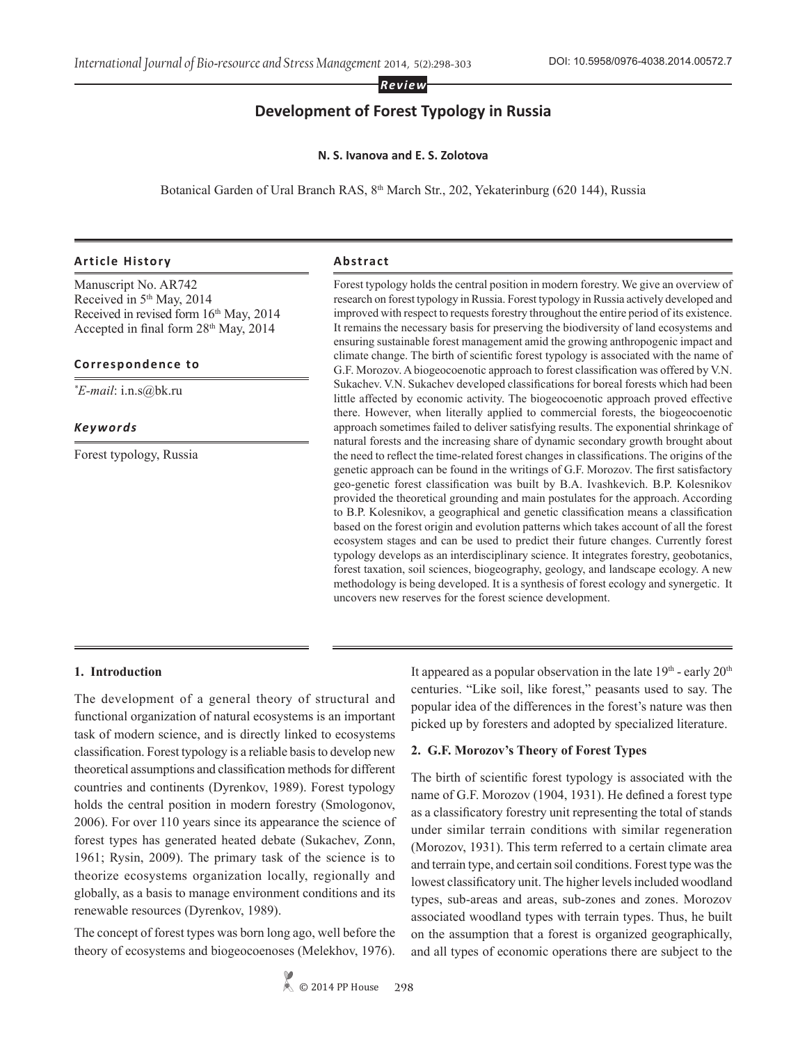*Review*

# **Development of Forest Typology in Russia**

#### **N. S. Ivanova and E. S. Zolotova**

Botanical Garden of Ural Branch RAS, 8<sup>th</sup> March Str., 202, Yekaterinburg (620 144), Russia

### **Article History Abstract**

Manuscript No. AR742 Received in 5th May, 2014 Received in revised form  $16<sup>th</sup>$  May, 2014 Accepted in final form 28th May, 2014

#### **Correspondence to**

*\* E-mail*: i.n.s@bk.ru

*Keywords*

Forest typology, Russia

Forest typology holds the central position in modern forestry. We give an overview of research on forest typology in Russia. Forest typology in Russia actively developed and improved with respect to requests forestry throughout the entire period of its existence. It remains the necessary basis for preserving the biodiversity of land ecosystems and ensuring sustainable forest management amid the growing anthropogenic impact and climate change. The birth of scientific forest typology is associated with the name of G.F. Morozov. A biogeocoenotic approach to forest classification was offered by V.N. Sukachev. V.N. Sukachev developed classifications for boreal forests which had been little affected by economic activity. The biogeocoenotic approach proved effective there. However, when literally applied to commercial forests, the biogeocoenotic approach sometimes failed to deliver satisfying results. The exponential shrinkage of natural forests and the increasing share of dynamic secondary growth brought about the need to reflect the time-related forest changes in classifications. The origins of the genetic approach can be found in the writings of G.F. Morozov. The first satisfactory geo-genetic forest classification was built by B.A. Ivashkevich. B.P. Kolesnikov provided the theoretical grounding and main postulates for the approach. According to B.P. Kolesnikov, a geographical and genetic classification means a classification based on the forest origin and evolution patterns which takes account of all the forest ecosystem stages and can be used to predict their future changes. Currently forest typology develops as an interdisciplinary science. It integrates forestry, geobotanics, forest taxation, soil sciences, biogeography, geology, and landscape ecology. A new methodology is being developed. It is a synthesis of forest ecology and synergetic. It uncovers new reserves for the forest science development.

#### **1. Introduction**

The development of a general theory of structural and functional organization of natural ecosystems is an important task of modern science, and is directly linked to ecosystems classification. Forest typology is a reliable basis to develop new theoretical assumptions and classification methods for different countries and continents (Dyrenkov, 1989). Forest typology holds the central position in modern forestry (Smologonov, 2006). For over 110 years since its appearance the science of forest types has generated heated debate (Sukachev, Zonn, 1961; Rysin, 2009). The primary task of the science is to theorize ecosystems organization locally, regionally and globally, as a basis to manage environment conditions and its renewable resources (Dyrenkov, 1989).

The concept of forest types was born long ago, well before the theory of ecosystems and biogeocoenoses (Melekhov, 1976). It appeared as a popular observation in the late 19th - early 20th centuries. "Like soil, like forest," peasants used to say. The popular idea of the differences in the forest's nature was then picked up by foresters and adopted by specialized literature.

#### **2. G.F. Morozov's Theory of Forest Types**

The birth of scientific forest typology is associated with the name of G.F. Morozov (1904, 1931). He defined a forest type as a classificatory forestry unit representing the total of stands under similar terrain conditions with similar regeneration (Morozov, 1931). This term referred to a certain climate area and terrain type, and certain soil conditions. Forest type was the lowest classificatory unit. The higher levels included woodland types, sub-areas and areas, sub-zones and zones. Morozov associated woodland types with terrain types. Thus, he built on the assumption that a forest is organized geographically, and all types of economic operations there are subject to the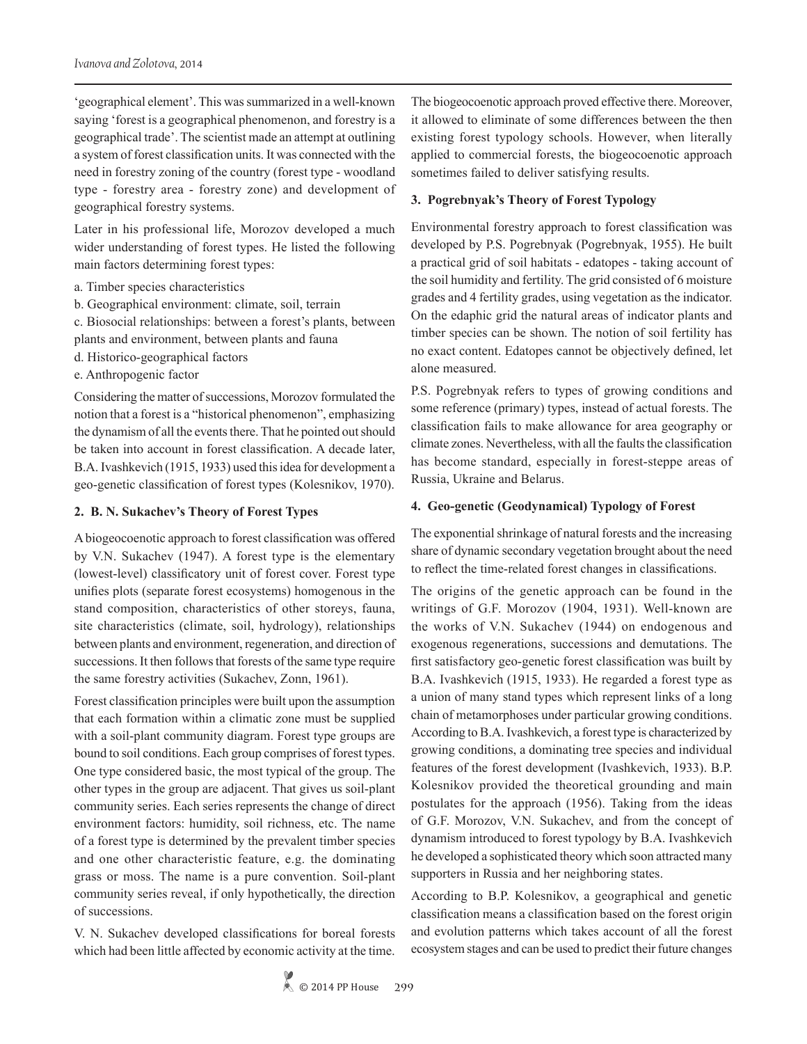'geographical element'. This was summarized in a well-known saying 'forest is a geographical phenomenon, and forestry is a geographical trade'. The scientist made an attempt at outlining a system of forest classification units. It was connected with the need in forestry zoning of the country (forest type - woodland type - forestry area - forestry zone) and development of geographical forestry systems.

Later in his professional life, Morozov developed a much wider understanding of forest types. He listed the following main factors determining forest types:

- a. Timber species characteristics
- b. Geographical environment: climate, soil, terrain

c. Biosocial relationships: between a forest's plants, between plants and environment, between plants and fauna

- d. Historico-geographical factors
- e. Anthropogenic factor

Considering the matter of successions, Morozov formulated the notion that a forest is a "historical phenomenon", emphasizing the dynamism of all the events there. That he pointed out should be taken into account in forest classification. A decade later, B.A. Ivashkevich (1915, 1933) used this idea for development a geo-genetic classification of forest types (Kolesnikov, 1970).

#### **2. B. N. Sukachev's Theory of Forest Types**

A biogeocoenotic approach to forest classification was offered by V.N. Sukachev (1947). A forest type is the elementary (lowest-level) classificatory unit of forest cover. Forest type unifies plots (separate forest ecosystems) homogenous in the stand composition, characteristics of other storeys, fauna, site characteristics (climate, soil, hydrology), relationships between plants and environment, regeneration, and direction of successions. It then follows that forests of the same type require the same forestry activities (Sukachev, Zonn, 1961).

Forest classification principles were built upon the assumption that each formation within a climatic zone must be supplied with a soil-plant community diagram. Forest type groups are bound to soil conditions. Each group comprises of forest types. One type considered basic, the most typical of the group. The other types in the group are adjacent. That gives us soil-plant community series. Each series represents the change of direct environment factors: humidity, soil richness, etc. The name of a forest type is determined by the prevalent timber species and one other characteristic feature, e.g. the dominating grass or moss. The name is a pure convention. Soil-plant community series reveal, if only hypothetically, the direction of successions.

V. N. Sukachev developed classifications for boreal forests which had been little affected by economic activity at the time. The biogeocoenotic approach proved effective there. Moreover, it allowed to eliminate of some differences between the then existing forest typology schools. However, when literally applied to commercial forests, the biogeocoenotic approach sometimes failed to deliver satisfying results.

### **3. Pogrebnyak's Theory of Forest Typology**

Environmental forestry approach to forest classification was developed by P.S. Pogrebnyak (Pogrebnyak, 1955). He built a practical grid of soil habitats - edatopes - taking account of the soil humidity and fertility. The grid consisted of 6 moisture grades and 4 fertility grades, using vegetation as the indicator. On the edaphic grid the natural areas of indicator plants and timber species can be shown. The notion of soil fertility has no exact content. Edatopes cannot be objectively defined, let alone measured.

P.S. Pogrebnyak refers to types of growing conditions and some reference (primary) types, instead of actual forests. The classification fails to make allowance for area geography or climate zones. Nevertheless, with all the faults the classification has become standard, especially in forest-steppe areas of Russia, Ukraine and Belarus.

#### **4. Geo-genetic (Geodynamical) Typology of Forest**

The exponential shrinkage of natural forests and the increasing share of dynamic secondary vegetation brought about the need to reflect the time-related forest changes in classifications.

The origins of the genetic approach can be found in the writings of G.F. Morozov (1904, 1931). Well-known are the works of V.N. Sukachev (1944) on endogenous and exogenous regenerations, successions and demutations. The first satisfactory geo-genetic forest classification was built by B.A. Ivashkevich (1915, 1933). He regarded a forest type as a union of many stand types which represent links of a long chain of metamorphoses under particular growing conditions. According to B.A. Ivashkevich, a forest type is characterized by growing conditions, a dominating tree species and individual features of the forest development (Ivashkevich, 1933). B.P. Kolesnikov provided the theoretical grounding and main postulates for the approach (1956). Taking from the ideas of G.F. Morozov, V.N. Sukachev, and from the concept of dynamism introduced to forest typology by B.A. Ivashkevich he developed a sophisticated theory which soon attracted many supporters in Russia and her neighboring states.

According to B.P. Kolesnikov, a geographical and genetic classification means a classification based on the forest origin and evolution patterns which takes account of all the forest ecosystem stages and can be used to predict their future changes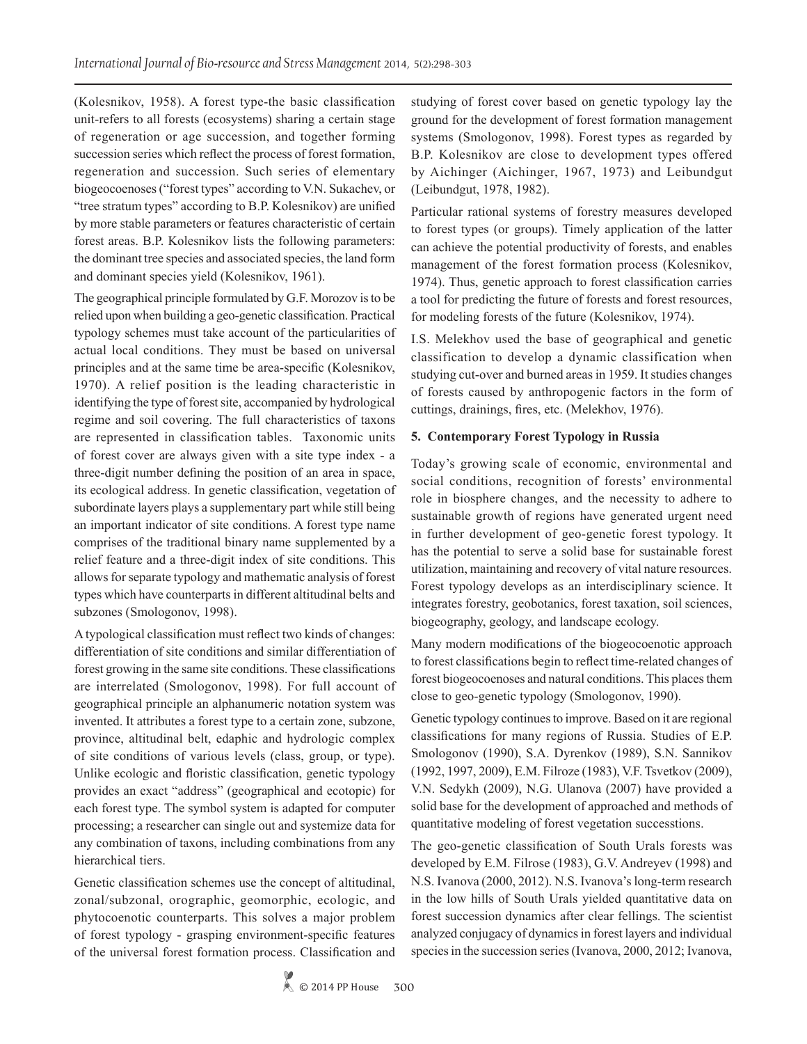(Kolesnikov, 1958). A forest type-the basic classification unit-refers to all forests (ecosystems) sharing a certain stage of regeneration or age succession, and together forming succession series which reflect the process of forest formation, regeneration and succession. Such series of elementary biogeocoenoses ("forest types" according to V.N. Sukachev, or "tree stratum types" according to B.P. Kolesnikov) are unified by more stable parameters or features characteristic of certain forest areas. B.P. Kolesnikov lists the following parameters: the dominant tree species and associated species, the land form and dominant species yield (Kolesnikov, 1961).

The geographical principle formulated by G.F. Morozov is to be relied upon when building a geo-genetic classification. Practical typology schemes must take account of the particularities of actual local conditions. They must be based on universal principles and at the same time be area-specific (Kolesnikov, 1970). A relief position is the leading characteristic in identifying the type of forest site, accompanied by hydrological regime and soil covering. The full characteristics of taxons are represented in classification tables. Taxonomic units of forest cover are always given with a site type index - a three-digit number defining the position of an area in space, its ecological address. In genetic classification, vegetation of subordinate layers plays a supplementary part while still being an important indicator of site conditions. A forest type name comprises of the traditional binary name supplemented by a relief feature and a three-digit index of site conditions. This allows for separate typology and mathematic analysis of forest types which have counterparts in different altitudinal belts and subzones (Smologonov, 1998).

A typological classification must reflect two kinds of changes: differentiation of site conditions and similar differentiation of forest growing in the same site conditions. These classifications are interrelated (Smologonov, 1998). For full account of geographical principle an alphanumeric notation system was invented. It attributes a forest type to a certain zone, subzone, province, altitudinal belt, edaphic and hydrologic complex of site conditions of various levels (class, group, or type). Unlike ecologic and floristic classification, genetic typology provides an exact "address" (geographical and ecotopic) for each forest type. The symbol system is adapted for computer processing; a researcher can single out and systemize data for any combination of taxons, including combinations from any hierarchical tiers.

Genetic classification schemes use the concept of altitudinal, zonal/subzonal, orographic, geomorphic, ecologic, and phytocoenotic counterparts. This solves a major problem of forest typology - grasping environment-specific features of the universal forest formation process. Classification and studying of forest cover based on genetic typology lay the ground for the development of forest formation management systems (Smologonov, 1998). Forest types as regarded by B.P. Kolesnikov are close to development types offered by Aichinger (Aichinger, 1967, 1973) and Leibundgut (Leibundgut, 1978, 1982).

Particular rational systems of forestry measures developed to forest types (or groups). Timely application of the latter can achieve the potential productivity of forests, and enables management of the forest formation process (Kolesnikov, 1974). Thus, genetic approach to forest classification carries a tool for predicting the future of forests and forest resources, for modeling forests of the future (Kolesnikov, 1974).

I.S. Melekhov used the base of geographical and genetic classification to develop a dynamic classification when studying cut-over and burned areas in 1959. It studies changes of forests caused by anthropogenic factors in the form of cuttings, drainings, fires, etc. (Melekhov, 1976).

## **5. Contemporary Forest Typology in Russia**

Today's growing scale of economic, environmental and social conditions, recognition of forests' environmental role in biosphere changes, and the necessity to adhere to sustainable growth of regions have generated urgent need in further development of geo-genetic forest typology. It has the potential to serve a solid base for sustainable forest utilization, maintaining and recovery of vital nature resources. Forest typology develops as an interdisciplinary science. It integrates forestry, geobotanics, forest taxation, soil sciences, biogeography, geology, and landscape ecology.

Many modern modifications of the biogeocoenotic approach to forest classifications begin to reflect time-related changes of forest biogeocoenoses and natural conditions. This places them close to geo-genetic typology (Smologonov, 1990).

Genetic typology continues to improve. Based on it are regional classifications for many regions of Russia. Studies of E.P. Smologonov (1990), S.A. Dyrenkov (1989), S.N. Sannikov (1992, 1997, 2009), E.M. Filroze (1983), V.F. Tsvetkov (2009), V.N. Sedykh (2009), N.G. Ulanova (2007) have provided a solid base for the development of approached and methods of quantitative modeling of forest vegetation successtions.

The geo-genetic classification of South Urals forests was developed by E.M. Filrose (1983), G.V. Andreyev (1998) and N.S. Ivanova (2000, 2012). N.S. Ivanova's long-term research in the low hills of South Urals yielded quantitative data on forest succession dynamics after clear fellings. The scientist analyzed conjugacy of dynamics in forest layers and individual species in the succession series (Ivanova, 2000, 2012; Ivanova,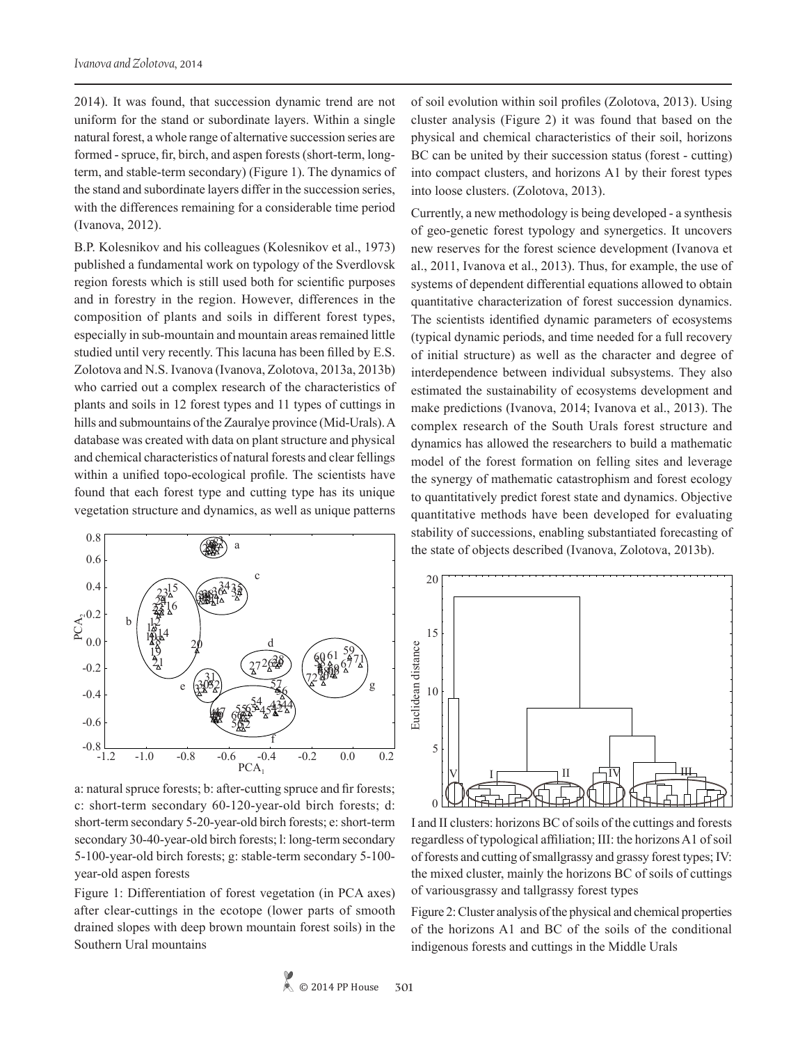2014). It was found, that succession dynamic trend are not uniform for the stand or subordinate layers. Within a single natural forest, a whole range of alternative succession series are formed - spruce, fir, birch, and aspen forests (short-term, longterm, and stable-term secondary) (Figure 1). The dynamics of the stand and subordinate layers differ in the succession series, with the differences remaining for a considerable time period (Ivanova, 2012).

B.P. Kolesnikov and his colleagues (Kolesnikov et al., 1973) published a fundamental work on typology of the Sverdlovsk region forests which is still used both for scientific purposes and in forestry in the region. However, differences in the composition of plants and soils in different forest types, especially in sub-mountain and mountain areas remained little studied until very recently. This lacuna has been filled by E.S. Zolotova and N.S. Ivanova (Ivanova, Zolotova, 2013a, 2013b) who carried out a complex research of the characteristics of plants and soils in 12 forest types and 11 types of cuttings in hills and submountains of the Zauralye province (Mid-Urals). A database was created with data on plant structure and physical and chemical characteristics of natural forests and clear fellings within a unified topo-ecological profile. The scientists have found that each forest type and cutting type has its unique vegetation structure and dynamics, as well as unique patterns



a: natural spruce forests; b: after-cutting spruce and fir forests; c: short-term secondary 60-120-year-old birch forests; d: short-term secondary 5-20-year-old birch forests; e: short-term secondary 30-40-year-old birch forests; l: long-term secondary 5-100-year-old birch forests; g: stable-term secondary 5-100 year-old aspen forests

Figure 1: Differentiation of forest vegetation (in PCA axes) after clear-cuttings in the ecotope (lower parts of smooth drained slopes with deep brown mountain forest soils) in the Southern Ural mountains

of soil evolution within soil profiles (Zolotova, 2013). Using cluster analysis (Figure 2) it was found that based on the physical and chemical characteristics of their soil, horizons BC can be united by their succession status (forest - cutting) into compact clusters, and horizons А1 by their forest types into loose clusters. (Zolotova, 2013).

Currently, a new methodology is being developed - a synthesis of geo-genetic forest typology and synergetics. It uncovers new reserves for the forest science development (Ivanova et al., 2011, Ivanova et al., 2013). Thus, for example, the use of systems of dependent differential equations allowed to obtain quantitative characterization of forest succession dynamics. The scientists identified dynamic parameters of ecosystems (typical dynamic periods, and time needed for a full recovery of initial structure) as well as the character and degree of interdependence between individual subsystems. They also estimated the sustainability of ecosystems development and make predictions (Ivanova, 2014; Ivanova et al., 2013). The complex research of the South Urals forest structure and dynamics has allowed the researchers to build a mathematic model of the forest formation on felling sites and leverage the synergy of mathematic catastrophism and forest ecology to quantitatively predict forest state and dynamics. Objective quantitative methods have been developed for evaluating stability of successions, enabling substantiated forecasting of the state of objects described (Ivanova, Zolotova, 2013b).



I and II clusters: horizons ВС of soils of the cuttings and forests regardless of typological affiliation; III: the horizons A1 of soil of forests and cutting of smallgrassy and grassy forest types; IV: the mixed cluster, mainly the horizons BC of soils of cuttings of variousgrassy and tallgrassy forest types

Figure 2: Cluster analysis of the physical and chemical properties of the horizons A1 and BC of the soils of the conditional indigenous forests and cuttings in the Middle Urals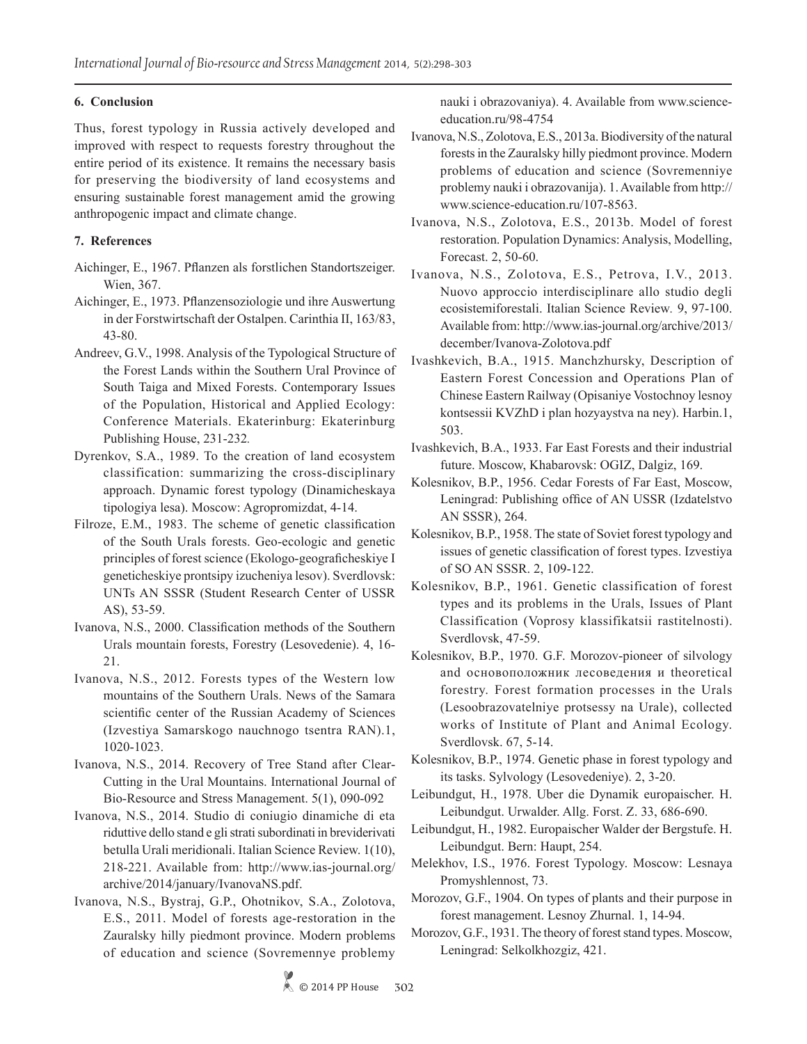## **6. Conclusion**

Thus, forest typology in Russia actively developed and improved with respect to requests forestry throughout the entire period of its existence. It remains the necessary basis for preserving the biodiversity of land ecosystems and ensuring sustainable forest management amid the growing anthropogenic impact and climate change.

## **7. References**

- Aichinger, E., 1967. Pflanzen als forstlichen Standortszeiger. Wien, 367.
- Aichinger, E., 1973. Pflanzensoziologie und ihre Auswertung in der Forstwirtschaft der Ostalpen. Carinthia II, 163/83, 43-80.
- Andreev, G.V., 1998. Analysis of the Typological Structure of the Forest Lands within the Southern Ural Province of South Taiga and Mixed Forests. Contemporary Issues of the Population, Historical and Applied Ecology: Conference Materials. Ekaterinburg: Ekaterinburg Publishing House, 231-232*.*
- Dyrenkov, S.A., 1989. To the creation of land ecosystem classification: summarizing the cross-disciplinary approach. Dynamic forest typology (Dinamicheskaya tipologiya lesa). Moscow: Agropromizdat, 4-14.
- Filroze, E.M., 1983. The scheme of genetic classification of the South Urals forests. Geo-ecologic and genetic principles of forest science (Ekologo-geograficheskiye I geneticheskiye prontsipy izucheniya lesov). Sverdlovsk: UNTs AN SSSR (Student Research Center of USSR AS), 53-59.
- Ivanova, N.S., 2000. Classification methods of the Southern Urals mountain forests, Forestry (Lesovedenie). 4, 16- 21.
- Ivanova, N.S., 2012. Forests types of the Western low mountains of the Southern Urals. News of the Samara scientific center of the Russian Academy of Sciences (Izvestiya Samarskogo nauchnogo tsentra RAN).1, 1020-1023.
- Ivanova, N.S., 2014. Recovery of Tree Stand after Clear-Cutting in the Ural Mountains. International Journal of Bio-Resource and Stress Management. 5(1), 090-092
- Ivanova, N.S., 2014. Studio di coniugio dinamiche di eta riduttive dello stand e gli strati subordinati in breviderivati betulla Urali meridionali. Italian Science Review. 1(10), 218-221. Available from: http://www.ias-journal.org/ archive/2014/january/IvanovaNS.pdf.
- Ivanova, N.S., Bystraj, G.P., Оhotnikov, S.A., Zolotova, E.S., 2011. Model of forests age-restoration in the Zauralsky hilly piedmont province. Modern problems of education and science (Sovremennye problemy

nauki i obrazovaniya). 4. Available from www.scienceeducation.ru/98-4754

- Ivanova, N.S., Zolotova, E.S., 2013a. Biodiversity of the natural forests in the Zauralsky hilly piedmont province. Modern problems of education and science (Sovremenniye problemy nauki i obrazovanija). 1. Available from http:// www.science-education.ru/107-8563.
- Ivanova, N.S., Zolotova, E.S., 2013b. Model of forest restoration. Population Dynamics: Analysis, Modelling, Forecast. 2, 50-60.
- Ivanova, N.S., Zolotova, E.S., Petrova, I.V., 2013. Nuovo approccio interdisciplinare allo studio degli ecosistemiforestali. Italian Science Review*.* 9, 97-100. Available from: http://www.ias-journal.org/archive/2013/ december/Ivanova-Zolotova.pdf
- Ivashkevich, B.A., 1915. Manchzhursky, Description of Eastern Forest Concession and Operations Plan of Chinese Eastern Railway (Opisaniye Vostochnoy lesnoy kontsessii KVZhD i plan hozyaystva na ney). Harbin.1, 503.
- Ivashkevich, B.A., 1933. Far East Forests and their industrial future. Moscow, Khabarovsk: OGIZ, Dalgiz, 169.
- Kolesnikov, B.P., 1956. Cedar Forests of Far East, Moscow, Leningrad: Publishing office of AN USSR (Izdatelstvo AN SSSR), 264.
- Kolesnikov, B.P., 1958. The state of Soviet forest typology and issues of genetic classification of forest types. Izvestiya of SO AN SSSR. 2, 109-122.
- Kolesnikov, B.P., 1961. Genetic classification of forest types and its problems in the Urals, Issues of Plant Classification (Voprosy klassifikatsii rastitelnosti). Sverdlovsk, 47-59.
- Kolesnikov, B.P., 1970. G.F. Morozov-pioneer of silvology and основоположник лесоведения и theoretical forestry. Forest formation processes in the Urals (Lesoobrazovatelniye protsessy na Urale), collected works of Institute of Plant and Animal Ecology. Sverdlovsk. 67, 5-14.
- Kolesnikov, B.P., 1974. Genetic phase in forest typology and its tasks. Sylvology (Lesovedeniye). 2, 3-20.
- Leibundgut, H., 1978. Uber die Dynamik europaischer. H. Leibundgut. Urwalder. Allg. Forst. Z. 33, 686-690.
- Leibundgut, H., 1982. Europaischer Walder der Bergstufe. H. Leibundgut. Bern: Haupt, 254.
- Melekhov, I.S., 1976. Forest Typology. Moscow: Lesnaya Promyshlennost, 73.
- Morozov, G.F., 1904. On types of plants and their purpose in forest management. Lesnoy Zhurnal. 1, 14-94.
- Morozov, G.F., 1931. The theory of forest stand types. Moscow, Leningrad: Selkolkhozgiz, 421.